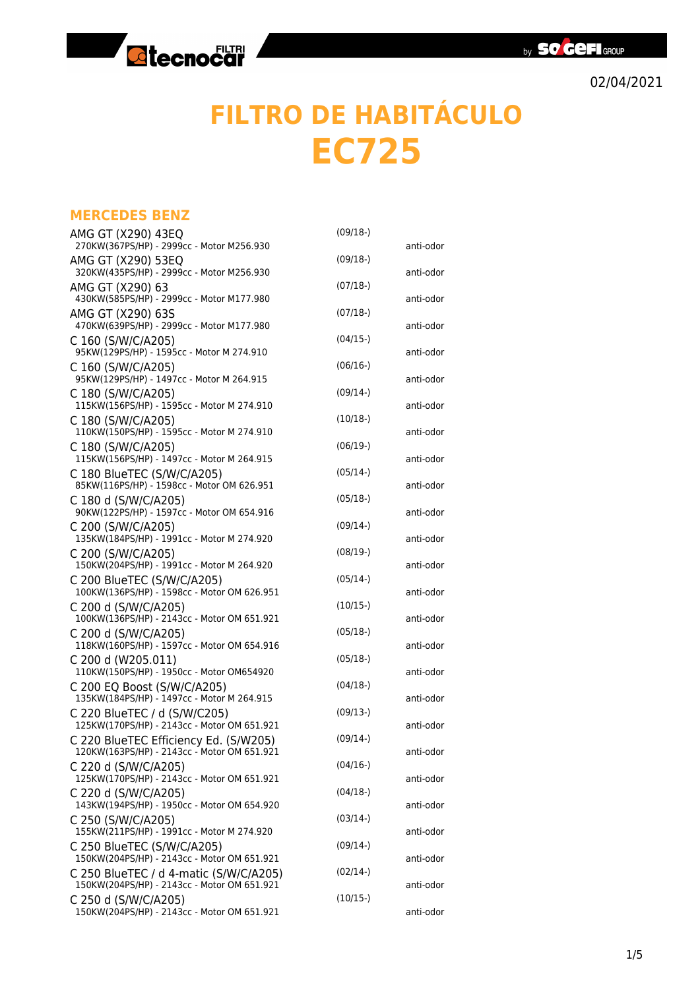

## **FILTRO DE HABITÁCULO EC725**

## **MERCEDES BENZ**

| AMG GT (X290) 43EQ                                                                    | $(09/18-)$ |           |
|---------------------------------------------------------------------------------------|------------|-----------|
| 270KW(367PS/HP) - 2999cc - Motor M256.930                                             | $(09/18-)$ | anti-odor |
| AMG GT (X290) 53EQ<br>320KW(435PS/HP) - 2999cc - Motor M256.930                       |            | anti-odor |
| AMG GT (X290) 63<br>430KW(585PS/HP) - 2999cc - Motor M177.980                         | $(07/18-)$ | anti-odor |
| AMG GT (X290) 63S<br>470KW(639PS/HP) - 2999cc - Motor M177.980                        | $(07/18-)$ | anti-odor |
| C 160 (S/W/C/A205)                                                                    | $(04/15-)$ |           |
| 95KW(129PS/HP) - 1595cc - Motor M 274.910<br>C 160 (S/W/C/A205)                       | $(06/16-)$ | anti-odor |
| 95KW(129PS/HP) - 1497cc - Motor M 264.915<br>C 180 (S/W/C/A205)                       | $(09/14-)$ | anti-odor |
| 115KW(156PS/HP) - 1595cc - Motor M 274.910                                            |            | anti-odor |
| C 180 (S/W/C/A205)<br>110KW(150PS/HP) - 1595cc - Motor M 274.910                      | $(10/18-)$ | anti-odor |
| C 180 (S/W/C/A205)<br>115KW(156PS/HP) - 1497cc - Motor M 264.915                      | $(06/19-)$ | anti-odor |
| C 180 BlueTEC (S/W/C/A205)                                                            | $(05/14-)$ |           |
| 85KW(116PS/HP) - 1598cc - Motor OM 626.951<br>C 180 d (S/W/C/A205)                    | $(05/18-)$ | anti-odor |
| 90KW(122PS/HP) - 1597cc - Motor OM 654.916<br>C 200 (S/W/C/A205)                      | $(09/14-)$ | anti-odor |
| 135KW(184PS/HP) - 1991cc - Motor M 274.920                                            |            | anti-odor |
| C 200 (S/W/C/A205)<br>150KW(204PS/HP) - 1991cc - Motor M 264.920                      | $(08/19-)$ | anti-odor |
| C 200 BlueTEC (S/W/C/A205)<br>100KW(136PS/HP) - 1598cc - Motor OM 626.951             | $(05/14-)$ | anti-odor |
| C 200 d (S/W/C/A205)<br>100KW(136PS/HP) - 2143cc - Motor OM 651.921                   | $(10/15-)$ | anti-odor |
| C 200 d (S/W/C/A205)<br>118KW(160PS/HP) - 1597cc - Motor OM 654.916                   | $(05/18-)$ |           |
| C 200 d (W205.011)                                                                    | $(05/18-)$ | anti-odor |
| 110KW(150PS/HP) - 1950cc - Motor OM654920<br>C 200 EQ Boost (S/W/C/A205)              | $(04/18-)$ | anti-odor |
| 135KW(184PS/HP) - 1497cc - Motor M 264.915                                            | $(09/13-)$ | anti-odor |
| C 220 BlueTEC / d (S/W/C205)<br>125KW(170PS/HP) - 2143cc - Motor OM 651.921           |            | anti-odor |
| C 220 BlueTEC Efficiency Ed. (S/W205)<br>120KW(163PS/HP) - 2143cc - Motor OM 651.921  | $(09/14-)$ | anti-odor |
| C 220 d (S/W/C/A205)<br>125KW(170PS/HP) - 2143cc - Motor OM 651.921                   | $(04/16-)$ | anti-odor |
| C 220 d (S/W/C/A205)                                                                  | $(04/18-)$ |           |
| 143KW(194PS/HP) - 1950cc - Motor OM 654.920<br>C 250 (S/W/C/A205)                     | $(03/14-)$ | anti-odor |
| 155KW(211PS/HP) - 1991cc - Motor M 274.920<br>C 250 BlueTEC (S/W/C/A205)              | $(09/14-)$ | anti-odor |
| 150KW(204PS/HP) - 2143cc - Motor OM 651.921                                           |            | anti-odor |
| C 250 BlueTEC / d 4-matic (S/W/C/A205)<br>150KW(204PS/HP) - 2143cc - Motor OM 651.921 | $(02/14-)$ | anti-odor |
| C 250 d (S/W/C/A205)<br>150KW(204PS/HP) - 2143cc - Motor OM 651.921                   | $(10/15-)$ | anti-odor |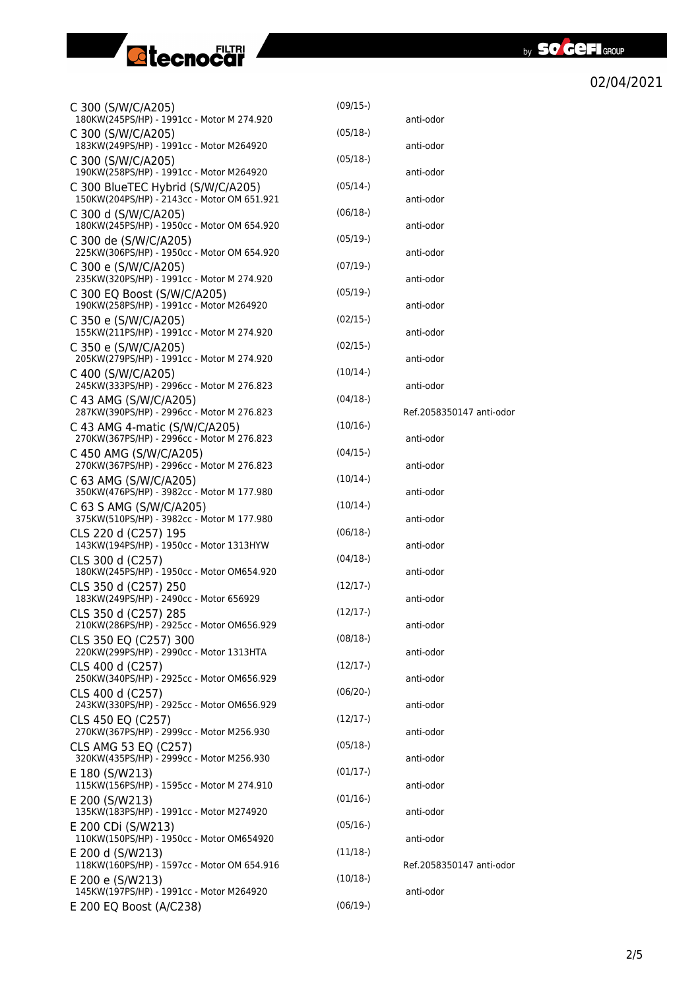

| C 300 (S/W/C/A205)<br>180KW(245PS/HP) - 1991cc - Motor M 274.920            | $(09/15-)$ | anti-odor                |
|-----------------------------------------------------------------------------|------------|--------------------------|
| C 300 (S/W/C/A205)<br>183KW(249PS/HP) - 1991cc - Motor M264920              | $(05/18-)$ | anti-odor                |
| C 300 (S/W/C/A205)<br>190KW(258PS/HP) - 1991cc - Motor M264920              | $(05/18-)$ | anti-odor                |
| C 300 BlueTEC Hybrid (S/W/C/A205)                                           | $(05/14-)$ |                          |
| 150KW(204PS/HP) - 2143cc - Motor OM 651.921<br>C 300 d (S/W/C/A205)         | $(06/18-)$ | anti-odor                |
| 180KW(245PS/HP) - 1950cc - Motor OM 654.920<br>C 300 de (S/W/C/A205)        | $(05/19-)$ | anti-odor                |
| 225KW(306PS/HP) - 1950cc - Motor OM 654.920<br>C 300 e (S/W/C/A205)         | (07/19)    | anti-odor                |
| 235KW(320PS/HP) - 1991cc - Motor M 274.920<br>C 300 EQ Boost (S/W/C/A205)   | $(05/19-)$ | anti-odor                |
| 190KW(258PS/HP) - 1991cc - Motor M264920                                    |            | anti-odor                |
| C 350 e (S/W/C/A205)<br>155KW(211PS/HP) - 1991cc - Motor M 274.920          | $(02/15-)$ | anti-odor                |
| C 350 e (S/W/C/A205)<br>205KW(279PS/HP) - 1991cc - Motor M 274.920          | $(02/15-)$ | anti-odor                |
| C 400 (S/W/C/A205)<br>245KW(333PS/HP) - 2996cc - Motor M 276.823            | $(10/14-)$ | anti-odor                |
| C 43 AMG (S/W/C/A205)<br>287KW(390PS/HP) - 2996cc - Motor M 276.823         | $(04/18-)$ | Ref.2058350147 anti-odor |
| C 43 AMG 4-matic (S/W/C/A205)<br>270KW(367PS/HP) - 2996cc - Motor M 276.823 | $(10/16-)$ | anti-odor                |
| C 450 AMG (S/W/C/A205)                                                      | $(04/15-)$ |                          |
| 270KW(367PS/HP) - 2996cc - Motor M 276.823<br>C 63 AMG (S/W/C/A205)         | $(10/14-)$ | anti-odor                |
| 350KW(476PS/HP) - 3982cc - Motor M 177.980<br>C 63 S AMG (S/W/C/A205)       | $(10/14-)$ | anti-odor                |
| 375KW(510PS/HP) - 3982cc - Motor M 177.980<br>CLS 220 d (C257) 195          | $(06/18-)$ | anti-odor                |
| 143KW(194PS/HP) - 1950cc - Motor 1313HYW<br>CLS 300 d (C257)                | $(04/18-)$ | anti-odor                |
| 180KW(245PS/HP) - 1950cc - Motor OM654.920                                  |            | anti-odor                |
| CLS 350 d (C257) 250<br>183KW(249PS/HP) - 2490cc - Motor 656929             | $(12/17-)$ | anti-odor                |
| CLS 350 d (C257) 285<br>210KW(286PS/HP) - 2925cc - Motor OM656.929          | $(12/17-)$ | anti-odor                |
| CLS 350 EQ (C257) 300<br>220KW(299PS/HP) - 2990cc - Motor 1313HTA           | $(08/18-)$ | anti-odor                |
| CLS 400 d (C257)<br>250KW(340PS/HP) - 2925cc - Motor OM656.929              | $(12/17-)$ | anti-odor                |
| CLS 400 d (C257)<br>243KW(330PS/HP) - 2925cc - Motor OM656.929              | $(06/20-)$ | anti-odor                |
| CLS 450 EQ (C257)                                                           | $(12/17-)$ |                          |
| 270KW(367PS/HP) - 2999cc - Motor M256.930<br>CLS AMG 53 EQ (C257)           | $(05/18-)$ | anti-odor                |
| 320KW(435PS/HP) - 2999cc - Motor M256.930<br>E 180 (S/W213)                 | (01/17)    | anti-odor                |
| 115KW(156PS/HP) - 1595cc - Motor M 274.910<br>E 200 (S/W213)                | $(01/16-)$ | anti-odor                |
| 135KW(183PS/HP) - 1991cc - Motor M274920<br>E 200 CDi (S/W213)              | $(05/16-)$ | anti-odor                |
| 110KW(150PS/HP) - 1950cc - Motor OM654920                                   |            | anti-odor                |
| E 200 d (S/W213)<br>118KW(160PS/HP) - 1597cc - Motor OM 654.916             | $(11/18-)$ | Ref.2058350147 anti-odor |
| E 200 e (S/W213)<br>145KW(197PS/HP) - 1991cc - Motor M264920                | $(10/18-)$ | anti-odor                |
| E 200 EQ Boost (A/C238)                                                     | $(06/19-)$ |                          |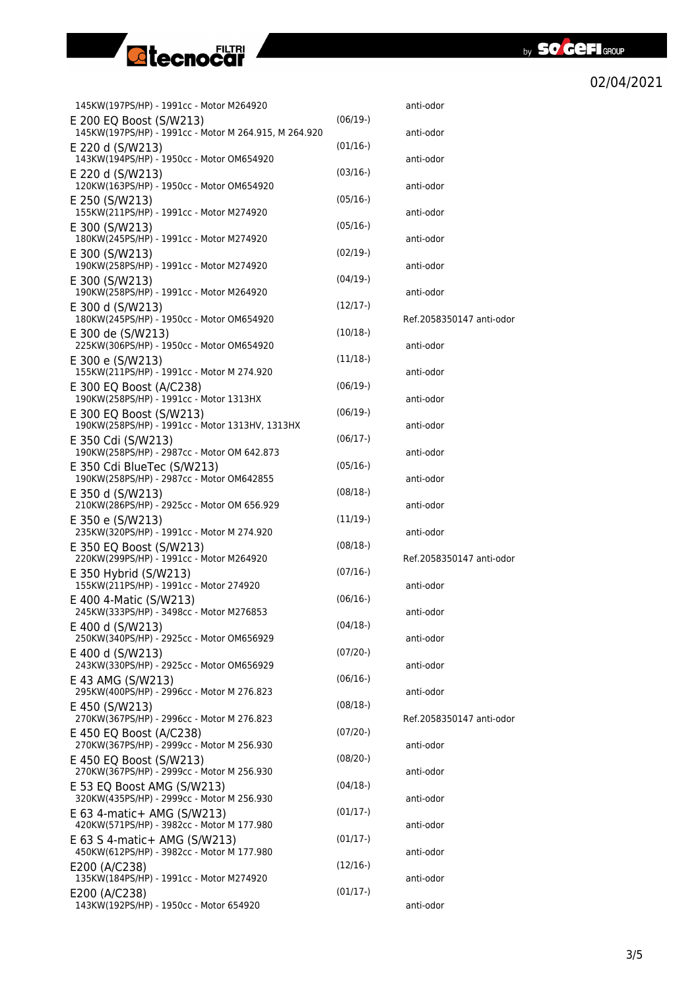



| 145KW(197PS/HP) - 1991cc - Motor M264920                                         |            | anti-odor                |
|----------------------------------------------------------------------------------|------------|--------------------------|
| E 200 EQ Boost (S/W213)<br>145KW(197PS/HP) - 1991cc - Motor M 264.915, M 264.920 | $(06/19-)$ | anti-odor                |
| E 220 d (S/W213)<br>143KW(194PS/HP) - 1950cc - Motor OM654920                    | $(01/16-)$ | anti-odor                |
| E 220 d (S/W213)<br>120KW(163PS/HP) - 1950cc - Motor OM654920                    | $(03/16-)$ | anti-odor                |
| E 250 (S/W213)<br>155KW(211PS/HP) - 1991cc - Motor M274920                       | $(05/16-)$ | anti-odor                |
| E 300 (S/W213)<br>180KW(245PS/HP) - 1991cc - Motor M274920                       | $(05/16-)$ | anti-odor                |
| E 300 (S/W213)<br>190KW(258PS/HP) - 1991cc - Motor M274920                       | $(02/19-)$ | anti-odor                |
| E 300 (S/W213)<br>190KW(258PS/HP) - 1991cc - Motor M264920                       | (04/19)    | anti-odor                |
| E 300 d (S/W213)<br>180KW(245PS/HP) - 1950cc - Motor OM654920                    | $(12/17-)$ | Ref.2058350147 anti-odor |
| E 300 de (S/W213)<br>225KW(306PS/HP) - 1950cc - Motor OM654920                   | $(10/18-)$ | anti-odor                |
| E 300 e (S/W213)<br>155KW(211PS/HP) - 1991cc - Motor M 274.920                   | $(11/18-)$ | anti-odor                |
| E 300 EQ Boost (A/C238)<br>190KW(258PS/HP) - 1991cc - Motor 1313HX               | $(06/19-)$ | anti-odor                |
| E 300 EQ Boost (S/W213)<br>190KW(258PS/HP) - 1991cc - Motor 1313HV, 1313HX       | $(06/19-)$ | anti-odor                |
| E 350 Cdi (S/W213)<br>190KW(258PS/HP) - 2987cc - Motor OM 642.873                | $(06/17-)$ | anti-odor                |
| E 350 Cdi BlueTec (S/W213)<br>190KW(258PS/HP) - 2987cc - Motor OM642855          | $(05/16-)$ | anti-odor                |
| E 350 d (S/W213)<br>210KW(286PS/HP) - 2925cc - Motor OM 656.929                  | $(08/18-)$ | anti-odor                |
| E 350 e (S/W213)<br>235KW(320PS/HP) - 1991cc - Motor M 274.920                   | (11/19)    | anti-odor                |
| E 350 EQ Boost (S/W213)<br>220KW(299PS/HP) - 1991cc - Motor M264920              | $(08/18-)$ | Ref.2058350147 anti-odor |
| E 350 Hybrid (S/W213)<br>155KW(211PS/HP) - 1991cc - Motor 274920                 | $(07/16-)$ | anti-odor                |
| E 400 4-Matic (S/W213)<br>245KW(333PS/HP) - 3498cc - Motor M276853               | $(06/16-)$ | anti-odor                |
| E 400 d (S/W213)<br>250KW(340PS/HP) - 2925cc - Motor OM656929                    | $(04/18-)$ | anti-odor                |
| E 400 d (S/W213)<br>243KW(330PS/HP) - 2925cc - Motor OM656929                    | $(07/20-)$ | anti-odor                |
| E 43 AMG (S/W213)<br>295KW(400PS/HP) - 2996cc - Motor M 276.823                  | $(06/16-)$ | anti-odor                |
| E 450 (S/W213)<br>270KW(367PS/HP) - 2996cc - Motor M 276.823                     | $(08/18-)$ | Ref.2058350147 anti-odor |
| E 450 EQ Boost (A/C238)<br>270KW(367PS/HP) - 2999cc - Motor M 256.930            | $(07/20-)$ | anti-odor                |
| E 450 EQ Boost (S/W213)<br>270KW(367PS/HP) - 2999cc - Motor M 256.930            | $(08/20-)$ | anti-odor                |
| E 53 EQ Boost AMG (S/W213)<br>320KW(435PS/HP) - 2999cc - Motor M 256.930         | $(04/18-)$ | anti-odor                |
| E 63 4-matic+ AMG (S/W213)<br>420KW(571PS/HP) - 3982cc - Motor M 177.980         | $(01/17-)$ | anti-odor                |
| E 63 S 4-matic+ AMG (S/W213)<br>450KW(612PS/HP) - 3982cc - Motor M 177.980       | $(01/17-)$ | anti-odor                |
| E200 (A/C238)<br>135KW(184PS/HP) - 1991cc - Motor M274920                        | $(12/16-)$ | anti-odor                |
| E200 (A/C238)<br>143KW(192PS/HP) - 1950cc - Motor 654920                         | $(01/17-)$ | anti-odor                |
|                                                                                  |            |                          |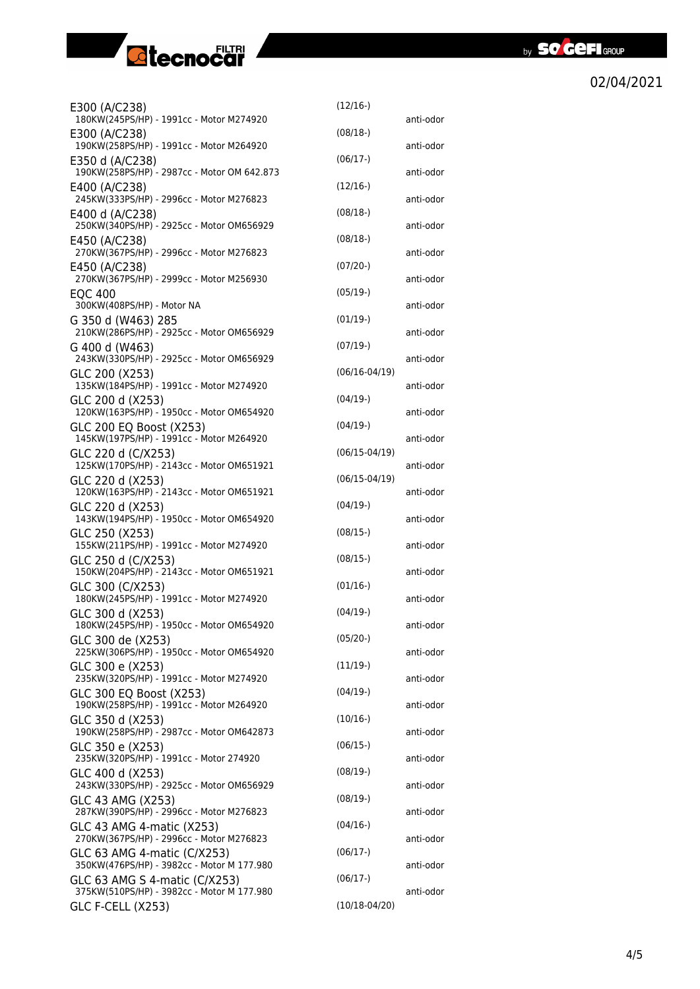

| E300 (A/C238)                                                               | $(12/16-)$        |           |
|-----------------------------------------------------------------------------|-------------------|-----------|
| 180KW(245PS/HP) - 1991cc - Motor M274920<br>E300 (A/C238)                   | $(08/18-)$        | anti-odor |
| 190KW(258PS/HP) - 1991cc - Motor M264920<br>E350 d (A/C238)                 | $(06/17-)$        | anti-odor |
| 190KW(258PS/HP) - 2987cc - Motor OM 642.873                                 | $(12/16-)$        | anti-odor |
| E400 (A/C238)<br>245KW(333PS/HP) - 2996cc - Motor M276823                   |                   | anti-odor |
| E400 d (A/C238)<br>250KW(340PS/HP) - 2925cc - Motor OM656929                | $(08/18-)$        | anti-odor |
| E450 (A/C238)<br>270KW(367PS/HP) - 2996cc - Motor M276823                   | $(08/18-)$        | anti-odor |
| E450 (A/C238)<br>270KW(367PS/HP) - 2999cc - Motor M256930                   | $(07/20-)$        | anti-odor |
| <b>EQC 400</b><br>300KW(408PS/HP) - Motor NA                                | $(05/19-)$        | anti-odor |
| G 350 d (W463) 285<br>210KW(286PS/HP) - 2925cc - Motor OM656929             | $(01/19-)$        | anti-odor |
| G 400 d (W463)                                                              | $(07/19-)$        |           |
| 243KW(330PS/HP) - 2925cc - Motor OM656929<br>GLC 200 (X253)                 | $(06/16 - 04/19)$ | anti-odor |
| 135KW(184PS/HP) - 1991cc - Motor M274920<br>GLC 200 d (X253)                | $(04/19-)$        | anti-odor |
| 120KW(163PS/HP) - 1950cc - Motor OM654920<br>GLC 200 EQ Boost (X253)        | $(04/19-)$        | anti-odor |
| 145KW(197PS/HP) - 1991cc - Motor M264920<br>GLC 220 d (C/X253)              | $(06/15 - 04/19)$ | anti-odor |
| 125KW(170PS/HP) - 2143cc - Motor OM651921                                   | $(06/15 - 04/19)$ | anti-odor |
| GLC 220 d (X253)<br>120KW(163PS/HP) - 2143cc - Motor OM651921               |                   | anti-odor |
| GLC 220 d (X253)<br>143KW(194PS/HP) - 1950cc - Motor OM654920               | $(04/19-)$        | anti-odor |
| GLC 250 (X253)<br>155KW(211PS/HP) - 1991cc - Motor M274920                  | $(08/15-)$        | anti-odor |
| GLC 250 d (C/X253)<br>150KW(204PS/HP) - 2143cc - Motor OM651921             | $(08/15-)$        | anti-odor |
| GLC 300 (C/X253)<br>180KW(245PS/HP) - 1991cc - Motor M274920                | $(01/16-)$        | anti-odor |
| GLC 300 d (X253)<br>180KW(245PS/HP) - 1950cc - Motor OM654920               | $(04/19-)$        | anti-odor |
| GLC 300 de (X253)<br>225KW(306PS/HP) - 1950cc - Motor OM654920              | $(05/20-)$        |           |
| GLC 300 e (X253)                                                            | $(11/19-)$        | anti-odor |
| 235KW(320PS/HP) - 1991cc - Motor M274920<br>GLC 300 EQ Boost (X253)         | $(04/19-)$        | anti-odor |
| 190KW(258PS/HP) - 1991cc - Motor M264920<br>GLC 350 d (X253)                | $(10/16-)$        | anti-odor |
| 190KW(258PS/HP) - 2987cc - Motor OM642873<br>GLC 350 e (X253)               | $(06/15-)$        | anti-odor |
| 235KW(320PS/HP) - 1991cc - Motor 274920<br>GLC 400 d (X253)                 | $(08/19-)$        | anti-odor |
| 243KW(330PS/HP) - 2925cc - Motor OM656929                                   |                   | anti-odor |
| GLC 43 AMG (X253)<br>287KW(390PS/HP) - 2996cc - Motor M276823               | $(08/19-)$        | anti-odor |
| GLC 43 AMG 4-matic (X253)<br>270KW(367PS/HP) - 2996cc - Motor M276823       | $(04/16-)$        | anti-odor |
| GLC 63 AMG 4-matic (C/X253)<br>350KW(476PS/HP) - 3982cc - Motor M 177.980   | $(06/17-)$        | anti-odor |
| GLC 63 AMG S 4-matic (C/X253)<br>375KW(510PS/HP) - 3982cc - Motor M 177.980 | $(06/17-)$        | anti-odor |
| <b>GLC F-CELL (X253)</b>                                                    | $(10/18 - 04/20)$ |           |